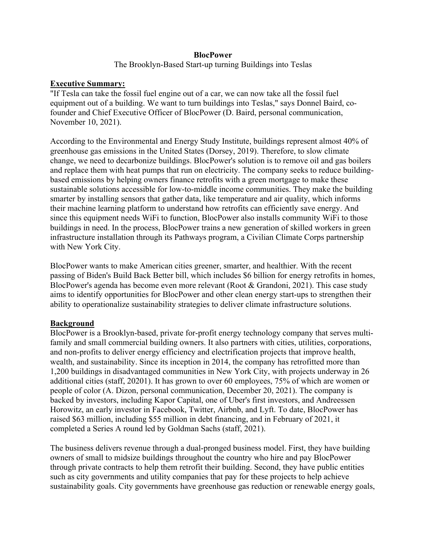# **BlocPower**

The Brooklyn-Based Start-up turning Buildings into Teslas

#### **Executive Summary:**

"If Tesla can take the fossil fuel engine out of a car, we can now take all the fossil fuel equipment out of a building. We want to turn buildings into Teslas," says Donnel Baird, cofounder and Chief Executive Officer of BlocPower (D. Baird, personal communication, November 10, 2021).

According to the Environmental and Energy Study Institute, buildings represent almost 40% of greenhouse gas emissions in the United States (Dorsey, 2019). Therefore, to slow climate change, we need to decarbonize buildings. BlocPower's solution is to remove oil and gas boilers and replace them with heat pumps that run on electricity. The company seeks to reduce buildingbased emissions by helping owners finance retrofits with a green mortgage to make these sustainable solutions accessible for low-to-middle income communities. They make the building smarter by installing sensors that gather data, like temperature and air quality, which informs their machine learning platform to understand how retrofits can efficiently save energy. And since this equipment needs WiFi to function, BlocPower also installs community WiFi to those buildings in need. In the process, BlocPower trains a new generation of skilled workers in green infrastructure installation through its Pathways program, a Civilian Climate Corps partnership with New York City.

BlocPower wants to make American cities greener, smarter, and healthier. With the recent passing of Biden's Build Back Better bill, which includes \$6 billion for energy retrofits in homes, BlocPower's agenda has become even more relevant (Root & Grandoni, 2021). This case study aims to identify opportunities for BlocPower and other clean energy start-ups to strengthen their ability to operationalize sustainability strategies to deliver climate infrastructure solutions.

## **Background**

BlocPower is a Brooklyn-based, private for-profit energy technology company that serves multifamily and small commercial building owners. It also partners with cities, utilities, corporations, and non-profits to deliver energy efficiency and electrification projects that improve health, wealth, and sustainability. Since its inception in 2014, the company has retrofitted more than 1,200 buildings in disadvantaged communities in New York City, with projects underway in 26 additional cities (staff, 20201). It has grown to over 60 employees, 75% of which are women or people of color (A. Dizon, personal communication, December 20, 2021). The company is backed by investors, including Kapor Capital, one of Uber's first investors, and Andreessen Horowitz, an early investor in Facebook, Twitter, Airbnb, and Lyft. To date, BlocPower has raised \$63 million, including \$55 million in debt financing, and in February of 2021, it completed a Series A round led by Goldman Sachs (staff, 2021).

The business delivers revenue through a dual-pronged business model. First, they have building owners of small to midsize buildings throughout the country who hire and pay BlocPower through private contracts to help them retrofit their building. Second, they have public entities such as city governments and utility companies that pay for these projects to help achieve sustainability goals. City governments have greenhouse gas reduction or renewable energy goals,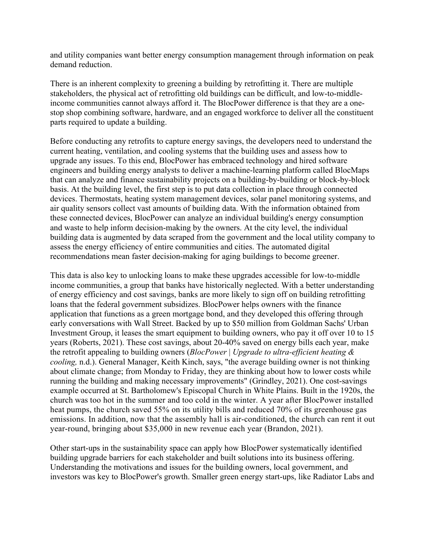and utility companies want better energy consumption management through information on peak demand reduction.

There is an inherent complexity to greening a building by retrofitting it. There are multiple stakeholders, the physical act of retrofitting old buildings can be difficult, and low-to-middleincome communities cannot always afford it. The BlocPower difference is that they are a onestop shop combining software, hardware, and an engaged workforce to deliver all the constituent parts required to update a building.

Before conducting any retrofits to capture energy savings, the developers need to understand the current heating, ventilation, and cooling systems that the building uses and assess how to upgrade any issues. To this end, BlocPower has embraced technology and hired software engineers and building energy analysts to deliver a machine-learning platform called BlocMaps that can analyze and finance sustainability projects on a building-by-building or block-by-block basis. At the building level, the first step is to put data collection in place through connected devices. Thermostats, heating system management devices, solar panel monitoring systems, and air quality sensors collect vast amounts of building data. With the information obtained from these connected devices, BlocPower can analyze an individual building's energy consumption and waste to help inform decision-making by the owners. At the city level, the individual building data is augmented by data scraped from the government and the local utility company to assess the energy efficiency of entire communities and cities. The automated digital recommendations mean faster decision-making for aging buildings to become greener.

This data is also key to unlocking loans to make these upgrades accessible for low-to-middle income communities, a group that banks have historically neglected. With a better understanding of energy efficiency and cost savings, banks are more likely to sign off on building retrofitting loans that the federal government subsidizes. BlocPower helps owners with the finance application that functions as a green mortgage bond, and they developed this offering through early conversations with Wall Street. Backed by up to \$50 million from Goldman Sachs' Urban Investment Group, it leases the smart equipment to building owners, who pay it off over 10 to 15 years (Roberts, 2021). These cost savings, about 20-40% saved on energy bills each year, make the retrofit appealing to building owners (*BlocPower* | *Upgrade to ultra-efficient heating & cooling,* n.d.). General Manager, Keith Kinch, says, "the average building owner is not thinking about climate change; from Monday to Friday, they are thinking about how to lower costs while running the building and making necessary improvements" (Grindley, 2021). One cost-savings example occurred at St. Bartholomew's Episcopal Church in White Plains. Built in the 1920s, the church was too hot in the summer and too cold in the winter. A year after BlocPower installed heat pumps, the church saved 55% on its utility bills and reduced 70% of its greenhouse gas emissions. In addition, now that the assembly hall is air-conditioned, the church can rent it out year-round, bringing about \$35,000 in new revenue each year (Brandon, 2021).

Other start-ups in the sustainability space can apply how BlocPower systematically identified building upgrade barriers for each stakeholder and built solutions into its business offering. Understanding the motivations and issues for the building owners, local government, and investors was key to BlocPower's growth. Smaller green energy start-ups, like Radiator Labs and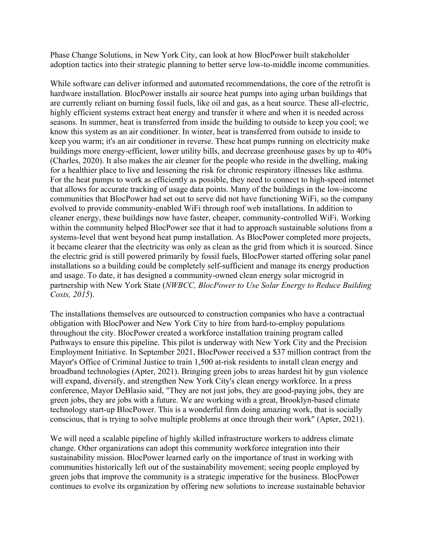Phase Change Solutions, in New York City, can look at how BlocPower built stakeholder adoption tactics into their strategic planning to better serve low-to-middle income communities.

While software can deliver informed and automated recommendations, the core of the retrofit is hardware installation. BlocPower installs air source heat pumps into aging urban buildings that are currently reliant on burning fossil fuels, like oil and gas, as a heat source. These all-electric, highly efficient systems extract heat energy and transfer it where and when it is needed across seasons. In summer, heat is transferred from inside the building to outside to keep you cool; we know this system as an air conditioner. In winter, heat is transferred from outside to inside to keep you warm; it's an air conditioner in reverse. These heat pumps running on electricity make buildings more energy-efficient, lower utility bills, and decrease greenhouse gases by up to 40% (Charles, 2020). It also makes the air cleaner for the people who reside in the dwelling, making for a healthier place to live and lessening the risk for chronic respiratory illnesses like asthma. For the heat pumps to work as efficiently as possible, they need to connect to high-speed internet that allows for accurate tracking of usage data points. Many of the buildings in the low-income communities that BlocPower had set out to serve did not have functioning WiFi, so the company evolved to provide community-enabled WiFi through roof web installations. In addition to cleaner energy, these buildings now have faster, cheaper, community-controlled WiFi. Working within the community helped BlocPower see that it had to approach sustainable solutions from a systems-level that went beyond heat pump installation. As BlocPower completed more projects, it became clearer that the electricity was only as clean as the grid from which it is sourced. Since the electric grid is still powered primarily by fossil fuels, BlocPower started offering solar panel installations so a building could be completely self-sufficient and manage its energy production and usage. To date, it has designed a community-owned clean energy solar microgrid in partnership with New York State (*NWBCC, BlocPower to Use Solar Energy to Reduce Building Costs, 2015*).

The installations themselves are outsourced to construction companies who have a contractual obligation with BlocPower and New York City to hire from hard-to-employ populations throughout the city. BlocPower created a workforce installation training program called Pathways to ensure this pipeline. This pilot is underway with New York City and the Precision Employment Initiative. In September 2021, BlocPower received a \$37 million contract from the Mayor's Office of Criminal Justice to train 1,500 at-risk residents to install clean energy and broadband technologies (Apter, 2021). Bringing green jobs to areas hardest hit by gun violence will expand, diversify, and strengthen New York City's clean energy workforce. In a press conference, Mayor DeBlasio said, "They are not just jobs, they are good-paying jobs, they are green jobs, they are jobs with a future. We are working with a great, Brooklyn-based climate technology start-up BlocPower. This is a wonderful firm doing amazing work, that is socially conscious, that is trying to solve multiple problems at once through their work" (Apter, 2021).

We will need a scalable pipeline of highly skilled infrastructure workers to address climate change. Other organizations can adopt this community workforce integration into their sustainability mission. BlocPower learned early on the importance of trust in working with communities historically left out of the sustainability movement; seeing people employed by green jobs that improve the community is a strategic imperative for the business. BlocPower continues to evolve its organization by offering new solutions to increase sustainable behavior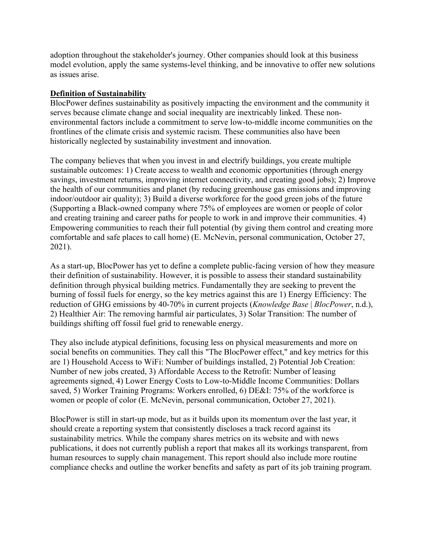adoption throughout the stakeholder's journey. Other companies should look at this business model evolution, apply the same systems-level thinking, and be innovative to offer new solutions as issues arise.

## **Definition of Sustainability**

BlocPower defines sustainability as positively impacting the environment and the community it serves because climate change and social inequality are inextricably linked. These nonenvironmental factors include a commitment to serve low-to-middle income communities on the frontlines of the climate crisis and systemic racism. These communities also have been historically neglected by sustainability investment and innovation.

The company believes that when you invest in and electrify buildings, you create multiple sustainable outcomes: 1) Create access to wealth and economic opportunities (through energy savings, investment returns, improving internet connectivity, and creating good jobs); 2) Improve the health of our communities and planet (by reducing greenhouse gas emissions and improving indoor/outdoor air quality); 3) Build a diverse workforce for the good green jobs of the future (Supporting a Black-owned company where 75% of employees are women or people of color and creating training and career paths for people to work in and improve their communities. 4) Empowering communities to reach their full potential (by giving them control and creating more comfortable and safe places to call home) (E. McNevin, personal communication, October 27, 2021).

As a start-up, BlocPower has yet to define a complete public-facing version of how they measure their definition of sustainability. However, it is possible to assess their standard sustainability definition through physical building metrics. Fundamentally they are seeking to prevent the burning of fossil fuels for energy, so the key metrics against this are 1) Energy Efficiency: The reduction of GHG emissions by 40-70% in current projects (*Knowledge Base* | *BlocPower*, n.d.), 2) Healthier Air: The removing harmful air particulates, 3) Solar Transition: The number of buildings shifting off fossil fuel grid to renewable energy.

They also include atypical definitions, focusing less on physical measurements and more on social benefits on communities. They call this "The BlocPower effect," and key metrics for this are 1) Household Access to WiFi: Number of buildings installed, 2) Potential Job Creation: Number of new jobs created, 3) Affordable Access to the Retrofit: Number of leasing agreements signed, 4) Lower Energy Costs to Low-to-Middle Income Communities: Dollars saved, 5) Worker Training Programs: Workers enrolled, 6) DE&I: 75% of the workforce is women or people of color (E. McNevin, personal communication, October 27, 2021).

BlocPower is still in start-up mode, but as it builds upon its momentum over the last year, it should create a reporting system that consistently discloses a track record against its sustainability metrics. While the company shares metrics on its website and with news publications, it does not currently publish a report that makes all its workings transparent, from human resources to supply chain management. This report should also include more routine compliance checks and outline the worker benefits and safety as part of its job training program.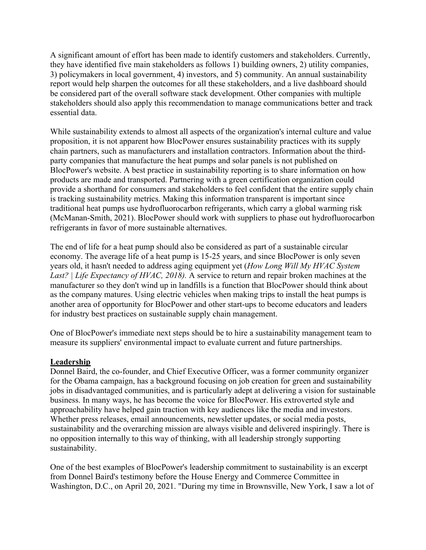A significant amount of effort has been made to identify customers and stakeholders. Currently, they have identified five main stakeholders as follows 1) building owners, 2) utility companies, 3) policymakers in local government, 4) investors, and 5) community. An annual sustainability report would help sharpen the outcomes for all these stakeholders, and a live dashboard should be considered part of the overall software stack development. Other companies with multiple stakeholders should also apply this recommendation to manage communications better and track essential data.

While sustainability extends to almost all aspects of the organization's internal culture and value proposition, it is not apparent how BlocPower ensures sustainability practices with its supply chain partners, such as manufacturers and installation contractors. Information about the thirdparty companies that manufacture the heat pumps and solar panels is not published on BlocPower's website. A best practice in sustainability reporting is to share information on how products are made and transported. Partnering with a green certification organization could provide a shorthand for consumers and stakeholders to feel confident that the entire supply chain is tracking sustainability metrics. Making this information transparent is important since traditional heat pumps use hydrofluorocarbon refrigerants, which carry a global warming risk (McManan-Smith, 2021). BlocPower should work with suppliers to phase out hydrofluorocarbon refrigerants in favor of more sustainable alternatives.

The end of life for a heat pump should also be considered as part of a sustainable circular economy. The average life of a heat pump is 15-25 years, and since BlocPower is only seven years old, it hasn't needed to address aging equipment yet (*How Long Will My HVAC System Last? | Life Expectancy of HVAC, 2018).* A service to return and repair broken machines at the manufacturer so they don't wind up in landfills is a function that BlocPower should think about as the company matures. Using electric vehicles when making trips to install the heat pumps is another area of opportunity for BlocPower and other start-ups to become educators and leaders for industry best practices on sustainable supply chain management.

One of BlocPower's immediate next steps should be to hire a sustainability management team to measure its suppliers' environmental impact to evaluate current and future partnerships.

## **Leadership**

Donnel Baird, the co-founder, and Chief Executive Officer, was a former community organizer for the Obama campaign, has a background focusing on job creation for green and sustainability jobs in disadvantaged communities, and is particularly adept at delivering a vision for sustainable business. In many ways, he has become the voice for BlocPower. His extroverted style and approachability have helped gain traction with key audiences like the media and investors. Whether press releases, email announcements, newsletter updates, or social media posts, sustainability and the overarching mission are always visible and delivered inspiringly. There is no opposition internally to this way of thinking, with all leadership strongly supporting sustainability.

One of the best examples of BlocPower's leadership commitment to sustainability is an excerpt from Donnel Baird's testimony before the House Energy and Commerce Committee in Washington, D.C., on April 20, 2021. "During my time in Brownsville, New York, I saw a lot of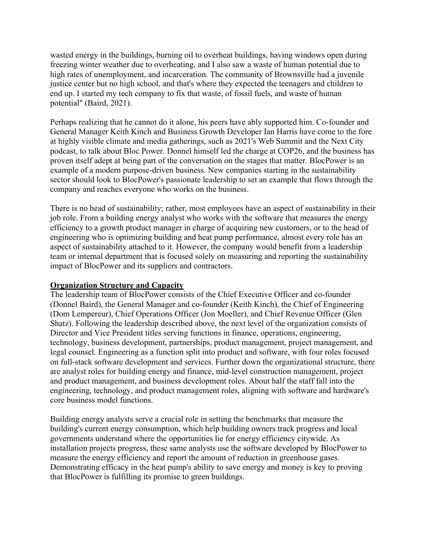wasted energy in the buildings, burning oil to overheat buildings, having windows open during freezing winter weather due to overheating, and I also saw a waste of human potential due to high rates of unemployment, and incarceration. The community of Brownsville had a juvenile justice center but no high school, and that's where they expected the teenagers and children to end up. I started my tech company to fix that waste, of fossil fuels, and waste of human potential" (Baird, 2021).

Perhaps realizing that he cannot do it alone, his peers have ably supported him. Co-founder and General Manager Keith Kinch and Business Growth Developer Ian Harris have come to the fore at highly visible climate and media gatherings, such as 2021's Web Summit and the Next City podcast, to talk about Bloc Power. Donnel himself led the charge at COP26, and the business has proven itself adept at being part of the conversation on the stages that matter. BlocPower is an example of a modern purpose-driven business. New companies starting in the sustainability sector should look to BlocPower's passionate leadership to set an example that flows through the company and reaches everyone who works on the business.

There is no head of sustainability; rather, most employees have an aspect of sustainability in their job role. From a building energy analyst who works with the software that measures the energy efficiency to a growth product manager in charge of acquiring new customers, or to the head of engineering who is optimizing building and heat pump performance, almost every role has an aspect of sustainability attached to it. However, the company would benefit from a leadership team or internal department that is focused solely on measuring and reporting the sustainability impact of BlocPower and its suppliers and contractors.

#### **Organization Structure and Capacity**

The leadership team of BlocPower consists of the Chief Executive Officer and co-founder (Donnel Baird), the General Manager and co-founder (Keith Kinch), the Chief of Engineering (Dom Lempereur), Chief Operations Officer (Jon Moeller), and Chief Revenue Officer (Glen Shatz). Following the leadership described above, the next level of the organization consists of Director and Vice President titles serving functions in finance, operations, engineering, technology, business development, partnerships, product management, project management, and legal counsel. Engineering as a function split into product and software, with four roles focused on full-stack software development and services. Further down the organizational structure, there are analyst roles for building energy and finance, mid-level construction management, project and product management, and business development roles. About half the staff fall into the engineering, technology, and product management roles, aligning with software and hardware's core business model functions.

Building energy analysts serve a crucial role in setting the benchmarks that measure the building's current energy consumption, which help building owners track progress and local governments understand where the opportunities lie for energy efficiency citywide. As installation projects progress, these same analysts use the software developed by BlocPower to measure the energy efficiency and report the amount of reduction in greenhouse gases. Demonstrating efficacy in the heat pump's ability to save energy and money is key to proving that BlocPower is fulfilling its promise to green buildings.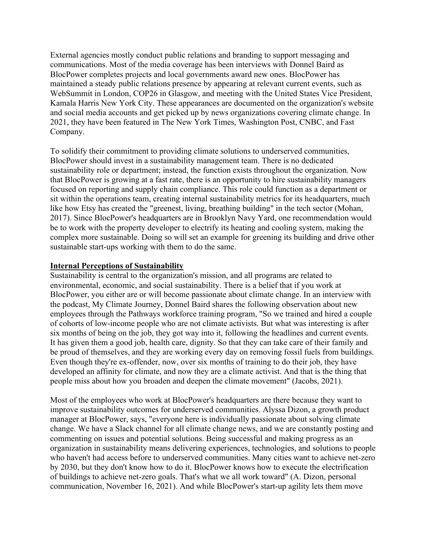External agencies mostly conduct public relations and branding to support messaging and communications. Most of the media coverage has been interviews with Donnel Baird as BlocPower completes projects and local governments award new ones. BlocPower has maintained a steady public relations presence by appearing at relevant current events, such as WebSummit in London, COP26 in Glasgow, and meeting with the United States Vice President, Kamala Harris New York City. These appearances are documented on the organization's website and social media accounts and get picked up by news organizations covering climate change. In 2021, they have been featured in The New York Times, Washington Post, CNBC, and Fast Company.

To solidify their commitment to providing climate solutions to underserved communities, BlocPower should invest in a sustainability management team. There is no dedicated sustainability role or department; instead, the function exists throughout the organization. Now that BlocPower is growing at a fast rate, there is an opportunity to hire sustainability managers focused on reporting and supply chain compliance. This role could function as a department or sit within the operations team, creating internal sustainability metrics for its headquarters, much like how Etsy has created the "greenest, living, breathing building" in the tech sector (Mohan, 2017). Since BlocPower's headquarters are in Brooklyn Navy Yard, one recommendation would be to work with the property developer to electrify its heating and cooling system, making the complex more sustainable. Doing so will set an example for greening its building and drive other sustainable start-ups working with them to do the same.

#### **Internal Perceptions of Sustainability**

Sustainability is central to the organization's mission, and all programs are related to environmental, economic, and social sustainability. There is a belief that if you work at BlocPower, you either are or will become passionate about climate change. In an interview with the podcast, My Climate Journey, Donnel Baird shares the following observation about new employees through the Pathways workforce training program, "So we trained and hired a couple of cohorts of low-income people who are not climate activists. But what was interesting is after six months of being on the job, they got way into it, following the headlines and current events. It has given them a good job, health care, dignity. So that they can take care of their family and be proud of themselves, and they are working every day on removing fossil fuels from buildings. Even though they're ex-offender, now, over six months of training to do their job, they have developed an affinity for climate, and now they are a climate activist. And that is the thing that people miss about how you broaden and deepen the climate movement" (Jacobs, 2021).

Most of the employees who work at BlocPower's headquarters are there because they want to improve sustainability outcomes for underserved communities. Alyssa Dizon, a growth product manager at BlocPower, says, "everyone here is individually passionate about solving climate change. We have a Slack channel for all climate change news, and we are constantly posting and commenting on issues and potential solutions. Being successful and making progress as an organization in sustainability means delivering experiences, technologies, and solutions to people who haven't had access before to underserved communities. Many cities want to achieve net-zero by 2030, but they don't know how to do it. BlocPower knows how to execute the electrification of buildings to achieve net-zero goals. That's what we all work toward" (A. Dizon, personal communication, November 16, 2021). And while BlocPower's start-up agility lets them move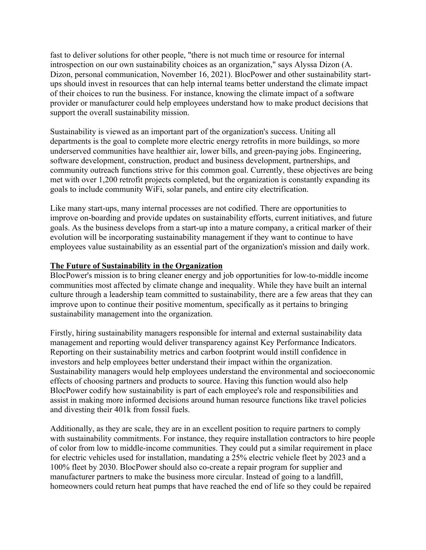fast to deliver solutions for other people, "there is not much time or resource for internal introspection on our own sustainability choices as an organization," says Alyssa Dizon (A. Dizon, personal communication, November 16, 2021). BlocPower and other sustainability startups should invest in resources that can help internal teams better understand the climate impact of their choices to run the business. For instance, knowing the climate impact of a software provider or manufacturer could help employees understand how to make product decisions that support the overall sustainability mission.

Sustainability is viewed as an important part of the organization's success. Uniting all departments is the goal to complete more electric energy retrofits in more buildings, so more underserved communities have healthier air, lower bills, and green-paying jobs. Engineering, software development, construction, product and business development, partnerships, and community outreach functions strive for this common goal. Currently, these objectives are being met with over 1,200 retrofit projects completed, but the organization is constantly expanding its goals to include community WiFi, solar panels, and entire city electrification.

Like many start-ups, many internal processes are not codified. There are opportunities to improve on-boarding and provide updates on sustainability efforts, current initiatives, and future goals. As the business develops from a start-up into a mature company, a critical marker of their evolution will be incorporating sustainability management if they want to continue to have employees value sustainability as an essential part of the organization's mission and daily work.

#### **The Future of Sustainability in the Organization**

BlocPower's mission is to bring cleaner energy and job opportunities for low-to-middle income communities most affected by climate change and inequality. While they have built an internal culture through a leadership team committed to sustainability, there are a few areas that they can improve upon to continue their positive momentum, specifically as it pertains to bringing sustainability management into the organization.

Firstly, hiring sustainability managers responsible for internal and external sustainability data management and reporting would deliver transparency against Key Performance Indicators. Reporting on their sustainability metrics and carbon footprint would instill confidence in investors and help employees better understand their impact within the organization. Sustainability managers would help employees understand the environmental and socioeconomic effects of choosing partners and products to source. Having this function would also help BlocPower codify how sustainability is part of each employee's role and responsibilities and assist in making more informed decisions around human resource functions like travel policies and divesting their 401k from fossil fuels.

Additionally, as they are scale, they are in an excellent position to require partners to comply with sustainability commitments. For instance, they require installation contractors to hire people of color from low to middle-income communities. They could put a similar requirement in place for electric vehicles used for installation, mandating a 25% electric vehicle fleet by 2023 and a 100% fleet by 2030. BlocPower should also co-create a repair program for supplier and manufacturer partners to make the business more circular. Instead of going to a landfill, homeowners could return heat pumps that have reached the end of life so they could be repaired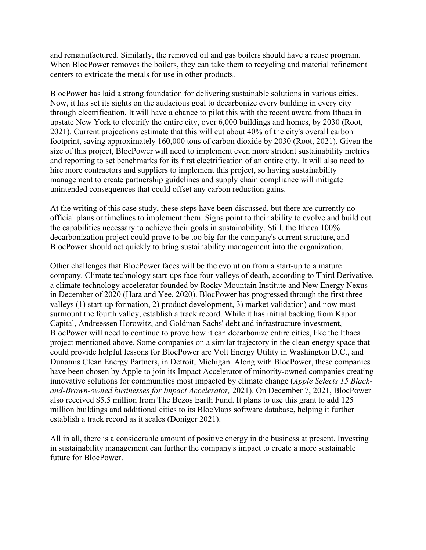and remanufactured. Similarly, the removed oil and gas boilers should have a reuse program. When BlocPower removes the boilers, they can take them to recycling and material refinement centers to extricate the metals for use in other products.

BlocPower has laid a strong foundation for delivering sustainable solutions in various cities. Now, it has set its sights on the audacious goal to decarbonize every building in every city through electrification. It will have a chance to pilot this with the recent award from Ithaca in upstate New York to electrify the entire city, over 6,000 buildings and homes, by 2030 (Root, 2021). Current projections estimate that this will cut about 40% of the city's overall carbon footprint, saving approximately 160,000 tons of carbon dioxide by 2030 (Root, 2021). Given the size of this project, BlocPower will need to implement even more strident sustainability metrics and reporting to set benchmarks for its first electrification of an entire city. It will also need to hire more contractors and suppliers to implement this project, so having sustainability management to create partnership guidelines and supply chain compliance will mitigate unintended consequences that could offset any carbon reduction gains.

At the writing of this case study, these steps have been discussed, but there are currently no official plans or timelines to implement them. Signs point to their ability to evolve and build out the capabilities necessary to achieve their goals in sustainability. Still, the Ithaca 100% decarbonization project could prove to be too big for the company's current structure, and BlocPower should act quickly to bring sustainability management into the organization.

Other challenges that BlocPower faces will be the evolution from a start-up to a mature company. Climate technology start-ups face four valleys of death, according to Third Derivative, a climate technology accelerator founded by Rocky Mountain Institute and New Energy Nexus in December of 2020 (Hara and Yee, 2020). BlocPower has progressed through the first three valleys (1) start-up formation, 2) product development, 3) market validation) and now must surmount the fourth valley, establish a track record. While it has initial backing from Kapor Capital, Andreessen Horowitz, and Goldman Sachs' debt and infrastructure investment, BlocPower will need to continue to prove how it can decarbonize entire cities, like the Ithaca project mentioned above. Some companies on a similar trajectory in the clean energy space that could provide helpful lessons for BlocPower are Volt Energy Utility in Washington D.C., and Dunamis Clean Energy Partners, in Detroit, Michigan. Along with BlocPower, these companies have been chosen by Apple to join its Impact Accelerator of minority-owned companies creating innovative solutions for communities most impacted by climate change (*Apple Selects 15 Blackand-Brown*-*owned businesses for Impact Accelerator,* 2021). On December 7, 2021, BlocPower also received \$5.5 million from The Bezos Earth Fund. It plans to use this grant to add 125 million buildings and additional cities to its BlocMaps software database, helping it further establish a track record as it scales (Doniger 2021).

All in all, there is a considerable amount of positive energy in the business at present. Investing in sustainability management can further the company's impact to create a more sustainable future for BlocPower.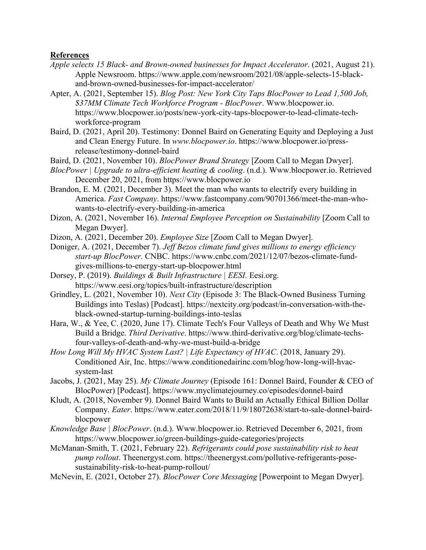#### **References**

- *Apple selects 15 Black- and Brown-owned businesses for Impact Accelerator*. (2021, August 21). Apple Newsroom. https://www.apple.com/newsroom/2021/08/apple-selects-15-blackand-brown-owned-businesses-for-impact-accelerator/
- Apter, A. (2021, September 15). *Blog Post: New York City Taps BlocPower to Lead 1,500 Job, \$37MM Climate Tech Workforce Program - BlocPower*. Www.blocpower.io. https://www.blocpower.io/posts/new-york-city-taps-blocpower-to-lead-climate-techworkforce-program
- Baird, D. (2021, April 20). Testimony: Donnel Baird on Generating Equity and Deploying a Just and Clean Energy Future. In *www.blocpower.io*. https://www.blocpower.io/pressrelease/testimony-donnel-baird
- Baird, D. (2021, November 10). *BlocPower Brand Strategy* [Zoom Call to Megan Dwyer].
- *BlocPower | Upgrade to ultra-efficient heating & cooling*. (n.d.). Www.blocpower.io. Retrieved December 20, 2021, from https://www.blocpower.io
- Brandon, E. M. (2021, December 3). Meet the man who wants to electrify every building in America. *Fast Company*. https://www.fastcompany.com/90701366/meet-the-man-whowants-to-electrify-every-building-in-america
- Dizon, A. (2021, November 16). *Internal Employee Perception on Sustainability* [Zoom Call to Megan Dwyer].
- Dizon, A. (2021, December 20). *Employee Size* [Zoom Call to Megan Dwyer].
- Doniger, A. (2021, December 7). *Jeff Bezos climate fund gives millions to energy efficiency start-up BlocPower*. CNBC. https://www.cnbc.com/2021/12/07/bezos-climate-fundgives-millions-to-energy-start-up-blocpower.html
- Dorsey, P. (2019). *Buildings & Built Infrastructure | EESI*. Eesi.org. https://www.eesi.org/topics/built-infrastructure/description
- Grindley, L. (2021, November 10). *Next City* (Episode 3: The Black-Owned Business Turning Buildings into Teslas) [Podcast]. https://nextcity.org/podcast/in-conversation-with-theblack-owned-startup-turning-buildings-into-teslas
- Hara, W., & Yee, C. (2020, June 17). Climate Tech's Four Valleys of Death and Why We Must Build a Bridge. *Third Derivative*. https://www.third-derivative.org/blog/climate-techsfour-valleys-of-death-and-why-we-must-build-a-bridge
- *How Long Will My HVAC System Last? | Life Expectancy of HVAC*. (2018, January 29). Conditioned Air, Inc. https://www.conditionedairinc.com/blog/how-long-will-hvacsystem-last
- Jacobs, J. (2021, May 25). *My Climate Journey* (Episode 161: Donnel Baird, Founder & CEO of BlocPower) [Podcast]. https://www.myclimatejourney.co/episodes/donnel-baird
- Kludt, A. (2018, November 9). Donnel Baird Wants to Build an Actually Ethical Billion Dollar Company. *Eater*. https://www.eater.com/2018/11/9/18072638/start-to-sale-donnel-bairdblocpower
- *Knowledge Base | BlocPower*. (n.d.). Www.blocpower.io. Retrieved December 6, 2021, from https://www.blocpower.io/green-buildings-guide-categories/projects
- McManan-Smith, T. (2021, February 22). *Refrigerants could pose sustainability risk to heat pump rollout*. Theenergyst.com. https://theenergyst.com/pollutive-refrigerants-posesustainability-risk-to-heat-pump-rollout/
- McNevin, E. (2021, October 27). *BlocPower Core Messaging* [Powerpoint to Megan Dwyer].